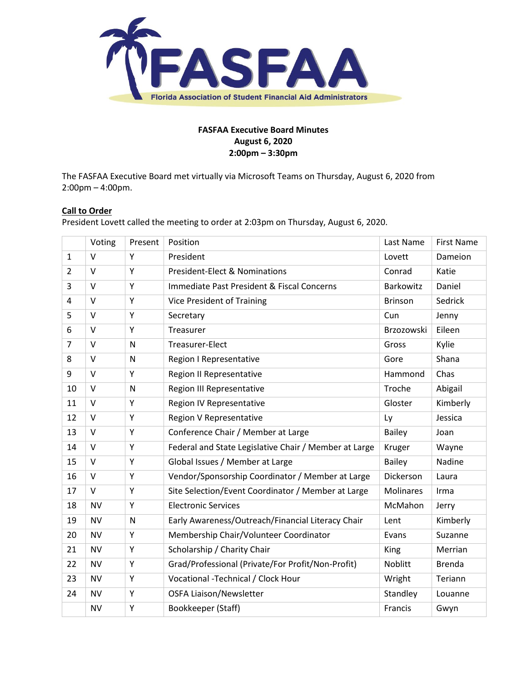

# **FASFAA Executive Board Minutes August 6, 2020 2:00pm – 3:30pm**

The FASFAA Executive Board met virtually via Microsoft Teams on Thursday, August 6, 2020 from 2:00pm – 4:00pm.

## **Call to Order**

President Lovett called the meeting to order at 2:03pm on Thursday, August 6, 2020.

|                | Voting    | Present | Position                                              | Last Name        | <b>First Name</b> |
|----------------|-----------|---------|-------------------------------------------------------|------------------|-------------------|
| $\mathbf{1}$   | $\vee$    | Y       | President                                             | Lovett           | Dameion           |
| $\overline{2}$ | $\vee$    | Y       | <b>President-Elect &amp; Nominations</b>              | Conrad           | Katie             |
| 3              | $\vee$    | Y       | Immediate Past President & Fiscal Concerns            | <b>Barkowitz</b> | Daniel            |
| 4              | $\vee$    | Y       | <b>Vice President of Training</b>                     | <b>Brinson</b>   | Sedrick           |
| 5              | $\vee$    | Y       | Secretary                                             | Cun              | Jenny             |
| 6              | $\vee$    | Y       | Treasurer                                             | Brzozowski       | Eileen            |
| $\overline{7}$ | $\vee$    | N       | Treasurer-Elect                                       | Gross            | Kylie             |
| 8              | $\vee$    | N       | Region I Representative                               | Gore             | Shana             |
| 9              | $\vee$    | Υ       | <b>Region II Representative</b>                       | Hammond          | Chas              |
| 10             | $\vee$    | N       | Region III Representative                             | Troche           | Abigail           |
| 11             | $\vee$    | Υ       | Region IV Representative                              | Gloster          | Kimberly          |
| 12             | $\vee$    | Υ       | Region V Representative                               | Ly               | Jessica           |
| 13             | $\vee$    | Υ       | Conference Chair / Member at Large                    | <b>Bailey</b>    | Joan              |
| 14             | $\vee$    | Υ       | Federal and State Legislative Chair / Member at Large | Kruger           | Wayne             |
| 15             | $\vee$    | Υ       | Global Issues / Member at Large                       | <b>Bailey</b>    | Nadine            |
| 16             | $\vee$    | Υ       | Vendor/Sponsorship Coordinator / Member at Large      | Dickerson        | Laura             |
| 17             | $\vee$    | Υ       | Site Selection/Event Coordinator / Member at Large    | <b>Molinares</b> | Irma              |
| 18             | <b>NV</b> | Y       | <b>Electronic Services</b>                            | McMahon          | Jerry             |
| 19             | <b>NV</b> | N       | Early Awareness/Outreach/Financial Literacy Chair     | Lent             | Kimberly          |
| 20             | <b>NV</b> | Y       | Membership Chair/Volunteer Coordinator                | Evans            | Suzanne           |
| 21             | <b>NV</b> | Υ       | Scholarship / Charity Chair                           | King             | Merrian           |
| 22             | <b>NV</b> | Υ       | Grad/Professional (Private/For Profit/Non-Profit)     | Noblitt          | <b>Brenda</b>     |
| 23             | <b>NV</b> | Υ       | Vocational -Technical / Clock Hour                    | Wright           | Teriann           |
| 24             | <b>NV</b> | Υ       | <b>OSFA Liaison/Newsletter</b>                        | Standley         | Louanne           |
|                | <b>NV</b> | Υ       | Bookkeeper (Staff)                                    | Francis          | Gwyn              |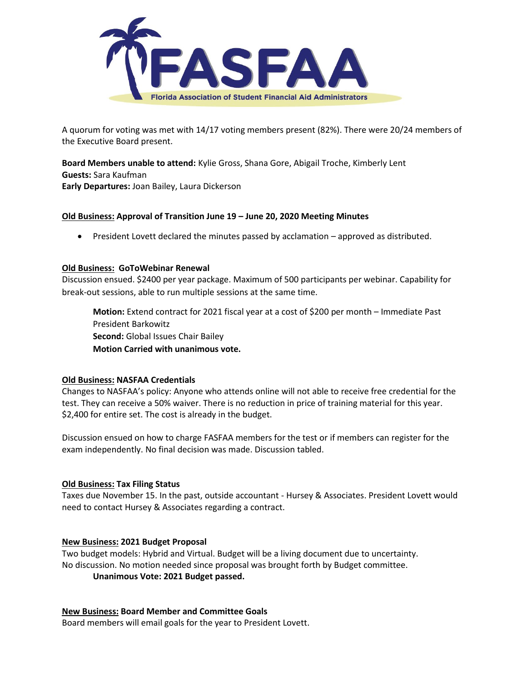

A quorum for voting was met with 14/17 voting members present (82%). There were 20/24 members of the Executive Board present.

**Board Members unable to attend:** Kylie Gross, Shana Gore, Abigail Troche, Kimberly Lent **Guests:** Sara Kaufman **Early Departures:** Joan Bailey, Laura Dickerson

#### **Old Business: Approval of Transition June 19 – June 20, 2020 Meeting Minutes**

President Lovett declared the minutes passed by acclamation – approved as distributed.

#### **Old Business: GoToWebinar Renewal**

Discussion ensued. \$2400 per year package. Maximum of 500 participants per webinar. Capability for break-out sessions, able to run multiple sessions at the same time.

**Motion:** Extend contract for 2021 fiscal year at a cost of \$200 per month – Immediate Past President Barkowitz **Second:** Global Issues Chair Bailey **Motion Carried with unanimous vote.**

## **Old Business: NASFAA Credentials**

Changes to NASFAA's policy: Anyone who attends online will not able to receive free credential for the test. They can receive a 50% waiver. There is no reduction in price of training material for this year. \$2,400 for entire set. The cost is already in the budget.

Discussion ensued on how to charge FASFAA members for the test or if members can register for the exam independently. No final decision was made. Discussion tabled.

#### **Old Business: Tax Filing Status**

Taxes due November 15. In the past, outside accountant - Hursey & Associates. President Lovett would need to contact Hursey & Associates regarding a contract.

#### **New Business: 2021 Budget Proposal**

Two budget models: Hybrid and Virtual. Budget will be a living document due to uncertainty. No discussion. No motion needed since proposal was brought forth by Budget committee. **Unanimous Vote: 2021 Budget passed.** 

## **New Business: Board Member and Committee Goals**

Board members will email goals for the year to President Lovett.